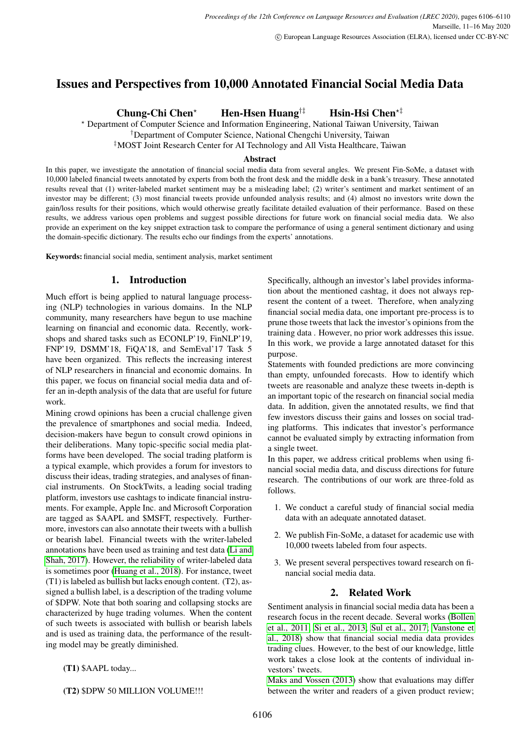# Issues and Perspectives from 10,000 Annotated Financial Social Media Data

Chung-Chi Chen<sup>\*</sup> Hen-Hsen Huang<sup>†‡</sup> Hsin-Hsi Chen<sup>\*‡</sup>

? Department of Computer Science and Information Engineering, National Taiwan University, Taiwan

†Department of Computer Science, National Chengchi University, Taiwan

‡MOST Joint Research Center for AI Technology and All Vista Healthcare, Taiwan

# Abstract

In this paper, we investigate the annotation of financial social media data from several angles. We present Fin-SoMe, a dataset with 10,000 labeled financial tweets annotated by experts from both the front desk and the middle desk in a bank's treasury. These annotated results reveal that (1) writer-labeled market sentiment may be a misleading label; (2) writer's sentiment and market sentiment of an investor may be different; (3) most financial tweets provide unfounded analysis results; and (4) almost no investors write down the gain/loss results for their positions, which would otherwise greatly facilitate detailed evaluation of their performance. Based on these results, we address various open problems and suggest possible directions for future work on financial social media data. We also provide an experiment on the key snippet extraction task to compare the performance of using a general sentiment dictionary and using the domain-specific dictionary. The results echo our findings from the experts' annotations.

Keywords: financial social media, sentiment analysis, market sentiment

# 1. Introduction

Much effort is being applied to natural language processing (NLP) technologies in various domains. In the NLP community, many researchers have begun to use machine learning on financial and economic data. Recently, workshops and shared tasks such as ECONLP'19, FinNLP'19, FNP'19, DSMM'18, FiQA'18, and SemEval'17 Task 5 have been organized. This reflects the increasing interest of NLP researchers in financial and economic domains. In this paper, we focus on financial social media data and offer an in-depth analysis of the data that are useful for future work.

Mining crowd opinions has been a crucial challenge given the prevalence of smartphones and social media. Indeed, decision-makers have begun to consult crowd opinions in their deliberations. Many topic-specific social media platforms have been developed. The social trading platform is a typical example, which provides a forum for investors to discuss their ideas, trading strategies, and analyses of financial instruments. On StockTwits, a leading social trading platform, investors use cashtags to indicate financial instruments. For example, Apple Inc. and Microsoft Corporation are tagged as \$AAPL and \$MSFT, respectively. Furthermore, investors can also annotate their tweets with a bullish or bearish label. Financial tweets with the writer-labeled annotations have been used as training and test data [\(Li and](#page-4-0) [Shah, 2017\)](#page-4-0). However, the reliability of writer-labeled data is sometimes poor [\(Huang et al., 2018\)](#page-4-1). For instance, tweet (T1) is labeled as bullish but lacks enough content. (T2), assigned a bullish label, is a description of the trading volume of \$DPW. Note that both soaring and collapsing stocks are characterized by huge trading volumes. When the content of such tweets is associated with bullish or bearish labels and is used as training data, the performance of the resulting model may be greatly diminished.

(T1) \$AAPL today...

(T2) \$DPW 50 MILLION VOLUME!!!

Specifically, although an investor's label provides information about the mentioned cashtag, it does not always represent the content of a tweet. Therefore, when analyzing financial social media data, one important pre-process is to prune those tweets that lack the investor's opinions from the training data . However, no prior work addresses this issue. In this work, we provide a large annotated dataset for this purpose.

Statements with founded predictions are more convincing than empty, unfounded forecasts. How to identify which tweets are reasonable and analyze these tweets in-depth is an important topic of the research on financial social media data. In addition, given the annotated results, we find that few investors discuss their gains and losses on social trading platforms. This indicates that investor's performance cannot be evaluated simply by extracting information from a single tweet.

In this paper, we address critical problems when using financial social media data, and discuss directions for future research. The contributions of our work are three-fold as follows.

- 1. We conduct a careful study of financial social media data with an adequate annotated dataset.
- 2. We publish Fin-SoMe, a dataset for academic use with 10,000 tweets labeled from four aspects.
- 3. We present several perspectives toward research on financial social media data.

# 2. Related Work

Sentiment analysis in financial social media data has been a research focus in the recent decade. Several works [\(Bollen](#page-4-2) [et al., 2011;](#page-4-2) [Si et al., 2013;](#page-4-3) [Sul et al., 2017;](#page-4-4) [Vanstone et](#page-4-5) [al., 2018\)](#page-4-5) show that financial social media data provides trading clues. However, to the best of our knowledge, little work takes a close look at the contents of individual investors' tweets.

[Maks and Vossen \(2013\)](#page-4-6) show that evaluations may differ between the writer and readers of a given product review;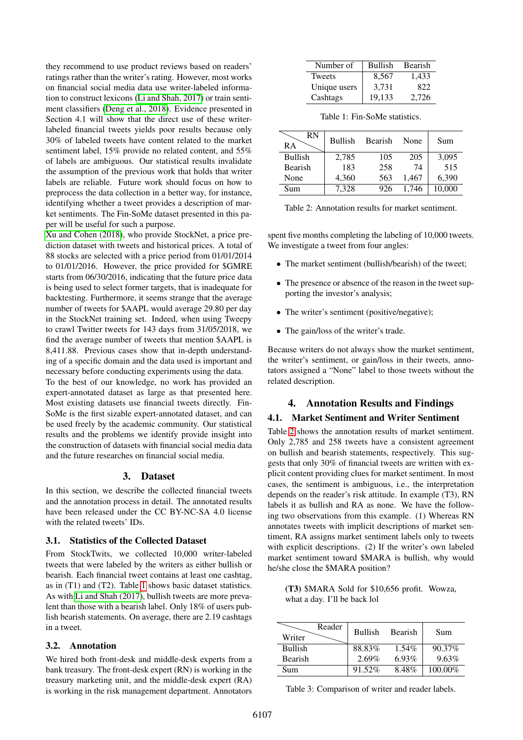they recommend to use product reviews based on readers' ratings rather than the writer's rating. However, most works on financial social media data use writer-labeled information to construct lexicons [\(Li and Shah, 2017\)](#page-4-0) or train sentiment classifiers [\(Deng et al., 2018\)](#page-4-7). Evidence presented in Section 4.1 will show that the direct use of these writerlabeled financial tweets yields poor results because only 30% of labeled tweets have content related to the market sentiment label, 15% provide no related content, and 55% of labels are ambiguous. Our statistical results invalidate the assumption of the previous work that holds that writer labels are reliable. Future work should focus on how to preprocess the data collection in a better way, for instance, identifying whether a tweet provides a description of market sentiments. The Fin-SoMe dataset presented in this paper will be useful for such a purpose.

[Xu and Cohen \(2018\)](#page-4-8), who provide StockNet, a price prediction dataset with tweets and historical prices. A total of 88 stocks are selected with a price period from 01/01/2014 to 01/01/2016. However, the price provided for \$GMRE starts from 06/30/2016, indicating that the future price data is being used to select former targets, that is inadequate for backtesting. Furthermore, it seems strange that the average number of tweets for \$AAPL would average 29.80 per day in the StockNet training set. Indeed, when using Tweepy to crawl Twitter tweets for 143 days from 31/05/2018, we find the average number of tweets that mention \$AAPL is 8,411.88. Previous cases show that in-depth understanding of a specific domain and the data used is important and necessary before conducting experiments using the data.

To the best of our knowledge, no work has provided an expert-annotated dataset as large as that presented here. Most existing datasets use financial tweets directly. Fin-SoMe is the first sizable expert-annotated dataset, and can be used freely by the academic community. Our statistical results and the problems we identify provide insight into the construction of datasets with financial social media data and the future researches on financial social media.

# 3. Dataset

In this section, we describe the collected financial tweets and the annotation process in detail. The annotated results have been released under the CC BY-NC-SA 4.0 license with the related tweets' IDs.

### 3.1. Statistics of the Collected Dataset

From StockTwits, we collected 10,000 writer-labeled tweets that were labeled by the writers as either bullish or bearish. Each financial tweet contains at least one cashtag, as in (T1) and (T2). Table [1](#page-1-0) shows basic dataset statistics. As with [Li and Shah \(2017\)](#page-4-0), bullish tweets are more prevalent than those with a bearish label. Only 18% of users publish bearish statements. On average, there are 2.19 cashtags in a tweet.

# 3.2. Annotation

We hired both front-desk and middle-desk experts from a bank treasury. The front-desk expert (RN) is working in the treasury marketing unit, and the middle-desk expert (RA) is working in the risk management department. Annotators

| Number of     | <b>Bullish</b> | Bearish |
|---------------|----------------|---------|
| <b>Tweets</b> | 8.567          | 1.433   |
| Unique users  | 3.731          | 822     |
| Cashtags      | 19.133         | 2.726   |

<span id="page-1-0"></span>Table 1: Fin-SoMe statistics.

| <b>RN</b><br><b>RA</b> | <b>Bullish</b> | Bearish | None  | Sum    |
|------------------------|----------------|---------|-------|--------|
| <b>Bullish</b>         | 2,785          | 105     | 205   | 3,095  |
| <b>Bearish</b>         | 183            | 258     | 74    | 515    |
| None                   | 4,360          | 563     | 1,467 | 6,390  |
| Sum                    | 7,328          | 926     | 1.746 | 10,000 |

<span id="page-1-1"></span>Table 2: Annotation results for market sentiment.

spent five months completing the labeling of 10,000 tweets. We investigate a tweet from four angles:

- The market sentiment (bullish/bearish) of the tweet;
- The presence or absence of the reason in the tweet supporting the investor's analysis;
- The writer's sentiment (positive/negative);
- The gain/loss of the writer's trade.

Because writers do not always show the market sentiment, the writer's sentiment, or gain/loss in their tweets, annotators assigned a "None" label to those tweets without the related description.

# 4. Annotation Results and Findings

# 4.1. Market Sentiment and Writer Sentiment

Table [2](#page-1-1) shows the annotation results of market sentiment. Only 2,785 and 258 tweets have a consistent agreement on bullish and bearish statements, respectively. This suggests that only 30% of financial tweets are written with explicit content providing clues for market sentiment. In most cases, the sentiment is ambiguous, i.e., the interpretation depends on the reader's risk attitude. In example (T3), RN labels it as bullish and RA as none. We have the following two observations from this example. (1) Whereas RN annotates tweets with implicit descriptions of market sentiment, RA assigns market sentiment labels only to tweets with explicit descriptions. (2) If the writer's own labeled market sentiment toward \$MARA is bullish, why would he/she close the \$MARA position?

(T3) \$MARA Sold for \$10,656 profit. Wowza, what a day. I'll be back lol

| Reader<br>Writer | Bullish  | Bearish  | Sum      |
|------------------|----------|----------|----------|
| <b>Bullish</b>   | 88.83%   | $1.54\%$ | 90.37%   |
| <b>Bearish</b>   | $2.69\%$ | 6.93%    | $9.63\%$ |
| Sum              | 91.52%   | 8.48%    | 100.00%  |

<span id="page-1-2"></span>Table 3: Comparison of writer and reader labels.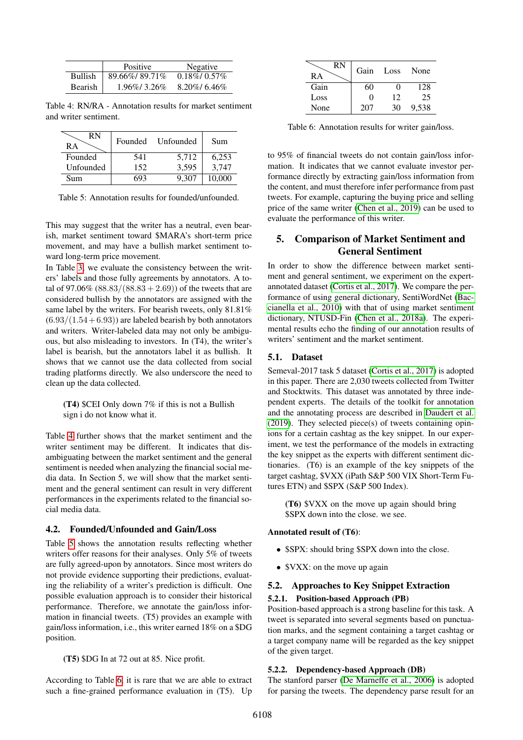|         | <b>Positive</b> | Negative            |
|---------|-----------------|---------------------|
| Bullish | 89.66%/89.71%   | $0.18\%$ / $0.57\%$ |
| Bearish | $1.96\%$ 3.26\% | $8.20\%$ / 6.46\%   |

<span id="page-2-0"></span>Table 4: RN/RA - Annotation results for market sentiment and writer sentiment.

| RN<br>RА  | Founded | Unfounded | Sum    |
|-----------|---------|-----------|--------|
| Founded   | 541     | 5,712     | 6,253  |
| Unfounded | 152     | 3,595     | 3,747  |
| Sum       |         | 9.307     | 10.000 |

<span id="page-2-1"></span>Table 5: Annotation results for founded/unfounded.

This may suggest that the writer has a neutral, even bearish, market sentiment toward \$MARA's short-term price movement, and may have a bullish market sentiment toward long-term price movement.

In Table [3,](#page-1-2) we evaluate the consistency between the writers' labels and those fully agreements by annotators. A total of 97.06%  $(88.83/(88.83 + 2.69))$  of the tweets that are considered bullish by the annotators are assigned with the same label by the writers. For bearish tweets, only 81.81%  $(6.93/(1.54+6.93))$  are labeled bearish by both annotators and writers. Writer-labeled data may not only be ambiguous, but also misleading to investors. In (T4), the writer's label is bearish, but the annotators label it as bullish. It shows that we cannot use the data collected from social trading platforms directly. We also underscore the need to clean up the data collected.

(T4) \$CEI Only down 7% if this is not a Bullish sign i do not know what it.

Table [4](#page-2-0) further shows that the market sentiment and the writer sentiment may be different. It indicates that disambiguating between the market sentiment and the general sentiment is needed when analyzing the financial social media data. In Section 5, we will show that the market sentiment and the general sentiment can result in very different performances in the experiments related to the financial social media data.

### 4.2. Founded/Unfounded and Gain/Loss

Table [5](#page-2-1) shows the annotation results reflecting whether writers offer reasons for their analyses. Only 5% of tweets are fully agreed-upon by annotators. Since most writers do not provide evidence supporting their predictions, evaluating the reliability of a writer's prediction is difficult. One possible evaluation approach is to consider their historical performance. Therefore, we annotate the gain/loss information in financial tweets. (T5) provides an example with gain/loss information, i.e., this writer earned 18% on a \$DG position.

(T5) \$DG In at 72 out at 85. Nice profit.

According to Table [6,](#page-2-2) it is rare that we are able to extract such a fine-grained performance evaluation in (T5). Up

| RN<br>RА | Gain | Loss              | None  |
|----------|------|-------------------|-------|
| Gain     | 60   | $\mathbf{\Omega}$ | 128   |
| Loss     | 0    | 12                | 25    |
| None     | 207  | 30                | 9.538 |

<span id="page-2-2"></span>Table 6: Annotation results for writer gain/loss.

to 95% of financial tweets do not contain gain/loss information. It indicates that we cannot evaluate investor performance directly by extracting gain/loss information from the content, and must therefore infer performance from past tweets. For example, capturing the buying price and selling price of the same writer [\(Chen et al., 2019\)](#page-4-9) can be used to evaluate the performance of this writer.

# 5. Comparison of Market Sentiment and General Sentiment

In order to show the difference between market sentiment and general sentiment, we experiment on the expertannotated dataset [\(Cortis et al., 2017\)](#page-4-10). We compare the performance of using general dictionary, SentiWordNet [\(Bac](#page-4-11)[cianella et al., 2010\)](#page-4-11) with that of using market sentiment dictionary, NTUSD-Fin [\(Chen et al., 2018a\)](#page-4-12). The experimental results echo the finding of our annotation results of writers' sentiment and the market sentiment.

### 5.1. Dataset

Semeval-2017 task 5 dataset [\(Cortis et al., 2017\)](#page-4-10) is adopted in this paper. There are 2,030 tweets collected from Twitter and Stocktwits. This dataset was annotated by three independent experts. The details of the toolkit for annotation and the annotating process are described in [Daudert et al.](#page-4-13) [\(2019\)](#page-4-13). They selected piece(s) of tweets containing opinions for a certain cashtag as the key snippet. In our experiment, we test the performance of the models in extracting the key snippet as the experts with different sentiment dictionaries. (T6) is an example of the key snippets of the target cashtag, \$VXX (iPath S&P 500 VIX Short-Term Futures ETN) and \$SPX (S&P 500 Index).

(T6) \$VXX on the move up again should bring \$SPX down into the close. we see.

#### Annotated result of (T6):

- \$SPX: should bring \$SPX down into the close.
- \$VXX: on the move up again

# 5.2. Approaches to Key Snippet Extraction

#### 5.2.1. Position-based Approach (PB)

Position-based approach is a strong baseline for this task. A tweet is separated into several segments based on punctuation marks, and the segment containing a target cashtag or a target company name will be regarded as the key snippet of the given target.

#### 5.2.2. Dependency-based Approach (DB)

The stanford parser [\(De Marneffe et al., 2006\)](#page-4-14) is adopted for parsing the tweets. The dependency parse result for an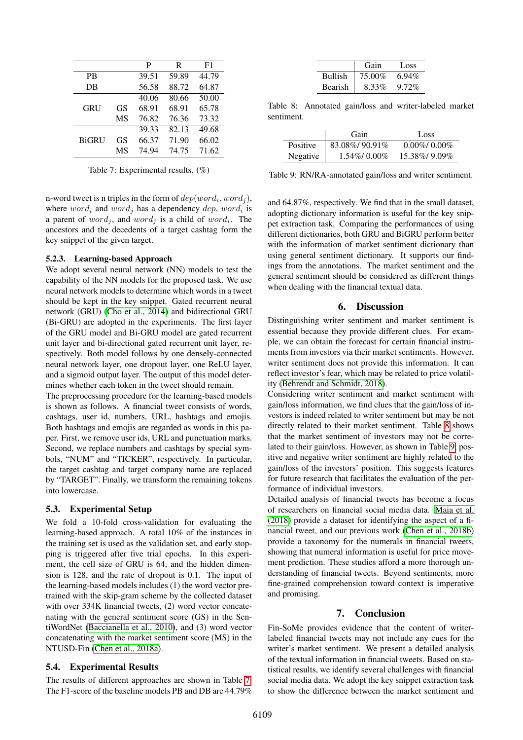|              |    | P     | R     | F1    |
|--------------|----|-------|-------|-------|
| <b>PB</b>    |    | 39.51 | 59.89 | 44.79 |
| DB           |    | 56.58 | 88.72 | 64.87 |
|              |    | 40.06 | 80.66 | 50.00 |
| GRU          | GS | 68.91 | 68.91 | 65.78 |
|              | MS | 76.82 | 76.36 | 73.32 |
|              |    | 39.33 | 82.13 | 49.68 |
| <b>BiGRU</b> | GS | 66.37 | 71.90 | 66.02 |
|              | MS | 74.94 | 74.75 | 71.62 |

<span id="page-3-0"></span>Table 7: Experimental results. (%)

n-word tweet is n triples in the form of  $dep(word_i, word_j)$ , where  $word_i$  and  $word_j$  has a dependency  $dep, word_i$  is a parent of  $word_j$ , and  $word_j$  is a child of  $word_i$ . The ancestors and the decedents of a target cashtag form the key snippet of the given target.

#### 5.2.3. Learning-based Approach

We adopt several neural network (NN) models to test the capability of the NN models for the proposed task. We use neural network models to determine which words in a tweet should be kept in the key snippet. Gated recurrent neural network (GRU) [\(Cho et al., 2014\)](#page-4-15) and bidirectional GRU (Bi-GRU) are adopted in the experiments. The first layer of the GRU model and Bi-GRU model are gated recurrent unit layer and bi-directional gated recurrent unit layer, respectively. Both model follows by one densely-connected neural network layer, one dropout layer, one ReLU layer, and a sigmoid output layer. The output of this model determines whether each token in the tweet should remain.

The preprocessing procedure for the learning-based models is shown as follows. A financial tweet consists of words, cashtags, user id, numbers, URL, hashtags and emojis. Both hashtags and emojis are regarded as words in this paper. First, we remove user ids, URL and punctuation marks. Second, we replace numbers and cashtags by special symbols, "NUM" and "TICKER", respectively. In particular, the target cashtag and target company name are replaced by "TARGET". Finally, we transform the remaining tokens into lowercase.

# 5.3. Experimental Setup

We fold a 10-fold cross-validation for evaluating the learning-based approach. A total 10% of the instances in the training set is used as the validation set, and early stopping is triggered after five trial epochs. In this experiment, the cell size of GRU is 64, and the hidden dimension is 128, and the rate of dropout is 0.1. The input of the learning-based models includes (1) the word vector pretrained with the skip-gram scheme by the collected dataset with over 334K financial tweets, (2) word vector concatenating with the general sentiment score (GS) in the SentiWordNet [\(Baccianella et al., 2010\)](#page-4-11), and (3) word vector concatenating with the market sentiment score (MS) in the NTUSD-Fin [\(Chen et al., 2018a\)](#page-4-12).

#### 5.4. Experimental Results

The results of different approaches are shown in Table [7.](#page-3-0) The F1-score of the baseline models PB and DB are 44.79%

|                | Gain   | Loss     |
|----------------|--------|----------|
| <b>Bullish</b> | 75.00% | $6.94\%$ |
| <b>Bearish</b> | 8.33%  | $9.72\%$ |

<span id="page-3-1"></span>Table 8: Annotated gain/loss and writer-labeled market sentiment.

|          | Gain           | Loss                |
|----------|----------------|---------------------|
| Positive | 83.08%/90.91%  | $0.00\%$ / $0.00\%$ |
| Negative | $1.54\%$ 0.00% | 15.38%/9.09%        |

<span id="page-3-2"></span>Table 9: RN/RA-annotated gain/loss and writer sentiment.

and 64.87%, respectively. We find that in the small dataset, adopting dictionary information is useful for the key snippet extraction task. Comparing the performances of using different dictionaries, both GRU and BiGRU perform better with the information of market sentiment dictionary than using general sentiment dictionary. It supports our findings from the annotations. The market sentiment and the general sentiment should be considered as different things when dealing with the financial textual data.

# 6. Discussion

Distinguishing writer sentiment and market sentiment is essential because they provide different clues. For example, we can obtain the forecast for certain financial instruments from investors via their market sentiments. However, writer sentiment does not provide this information. It can reflect investor's fear, which may be related to price volatility [\(Behrendt and Schmidt, 2018\)](#page-4-16).

Considering writer sentiment and market sentiment with gain/loss information, we find clues that the gain/loss of investors is indeed related to writer sentiment but may be not directly related to their market sentiment. Table [8](#page-3-1) shows that the market sentiment of investors may not be correlated to their gain/loss. However, as shown in Table [9,](#page-3-2) positive and negative writer sentiment are highly related to the gain/loss of the investors' position. This suggests features for future research that facilitates the evaluation of the performance of individual investors.

Detailed analysis of financial tweets has become a focus of researchers on financial social media data. [Maia et al.](#page-4-17) [\(2018\)](#page-4-17) provide a dataset for identifying the aspect of a financial tweet, and our previous work [\(Chen et al., 2018b\)](#page-4-18) provide a taxonomy for the numerals in financial tweets, showing that numeral information is useful for price movement prediction. These studies afford a more thorough understanding of financial tweets. Beyond sentiments, more fine-grained comprehension toward context is imperative and promising.

# 7. Conclusion

Fin-SoMe provides evidence that the content of writerlabeled financial tweets may not include any cues for the writer's market sentiment. We present a detailed analysis of the textual information in financial tweets. Based on statistical results, we identify several challenges with financial social media data. We adopt the key snippet extraction task to show the difference between the market sentiment and